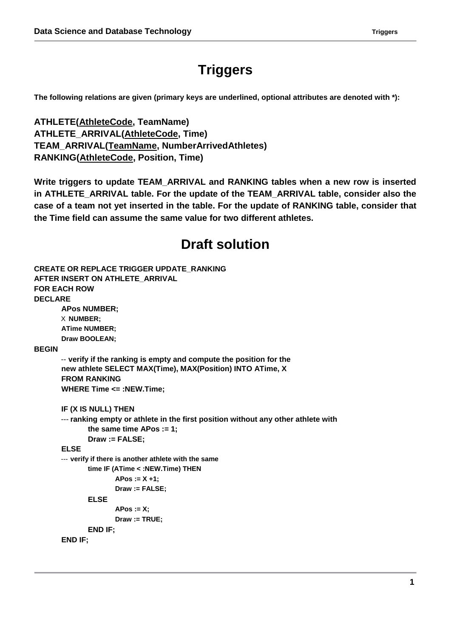## **Triggers**

**The following relations are given (primary keys are underlined, optional attributes are denoted with \*):**

**ATHLETE(AthleteCode, TeamName) ATHLETE\_ARRIVAL(AthleteCode, Time) TEAM\_ARRIVAL(TeamName, NumberArrivedAthletes) RANKING(AthleteCode, Position, Time)**

**Write triggers to update TEAM\_ARRIVAL and RANKING tables when a new row is inserted in ATHLETE\_ARRIVAL table. For the update of the TEAM\_ARRIVAL table, consider also the case of a team not yet inserted in the table. For the update of RANKING table, consider that the Time field can assume the same value for two different athletes.**

## **Draft solution**

```
CREATE OR REPLACE TRIGGER UPDATE_RANKING
AFTER INSERT ON ATHLETE_ARRIVAL
FOR EACH ROW
DECLARE
       APos NUMBER;
       X NUMBER; 
       ATime NUMBER; 
       Draw BOOLEAN;
BEGIN
       -- verify if the ranking is empty and compute the position for the 
       new athlete SELECT MAX(Time), MAX(Position) INTO ATime, X
       FROM RANKING
       WHERE Time <= :NEW.Time;
       IF (X IS NULL) THEN
       --- ranking empty or athlete in the first position without any other athlete with 
              the same time APos := 1;
              Draw := FALSE;
       ELSE
       --- verify if there is another athlete with the same 
              time IF (ATime < :NEW.Time) THEN
                     APos := X +1; 
                     Draw := FALSE;
              ELSE
                     APos := X; 
                     Draw := TRUE;
              END IF;
       END IF;
```